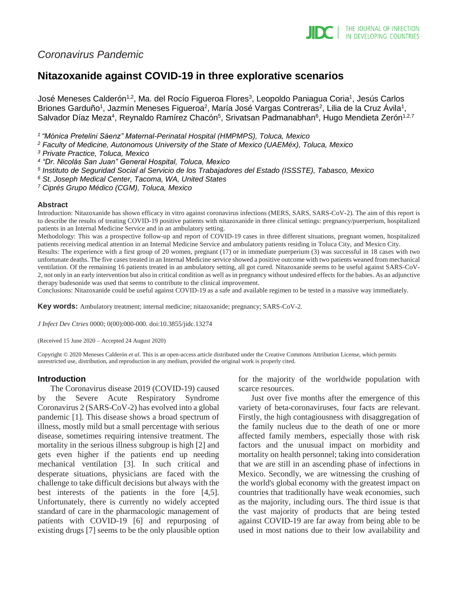

# *Coronavirus Pandemic*

# **Nitazoxanide against COVID-19 in three explorative scenarios**

José Meneses Calderón<sup>1,2</sup>, Ma. del Rocío Figueroa Flores<sup>3</sup>, Leopoldo Paniagua Coria<sup>1</sup>, Jesús Carlos Briones Garduño<sup>1</sup>, Jazmín Meneses Figueroa<sup>2</sup>, María José Vargas Contreras<sup>2</sup>, Lilia de la Cruz Ávila<sup>1</sup>, Salvador Díaz Meza<sup>4</sup>, Reynaldo Ramírez Chacón<sup>5</sup>, Srivatsan Padmanabhan<sup>6</sup>, Hugo Mendieta Zerón<sup>1,2,7</sup>

*<sup>1</sup>"Mónica Pretelini Sáenz" Maternal-Perinatal Hospital (HMPMPS), Toluca, Mexico*

*<sup>2</sup> Faculty of Medicine, Autonomous University of the State of Mexico (UAEMéx), Toluca, Mexico*

*<sup>3</sup> Private Practice, Toluca, Mexico*

*4 "Dr. Nicolás San Juan" General Hospital, Toluca, Mexico*

- *5 Instituto de Seguridad Social al Servicio de los Trabajadores del Estado (ISSSTE), Tabasco, Mexico*
- *<sup>6</sup> St. Joseph Medical Center, Tacoma, WA, United States*

*<sup>7</sup> Ciprés Grupo Médico (CGM), Toluca, Mexico*

#### **Abstract**

Introduction: Nitazoxanide has shown efficacy in vitro against coronavirus infections (MERS, SARS, SARS-CoV-2). The aim of this report is to describe the results of treating COVID-19 positive patients with nitazoxanide in three clinical settings: pregnancy/puerperium, hospitalized patients in an Internal Medicine Service and in an ambulatory setting.

Methodology: This was a prospective follow-up and report of COVID-19 cases in three different situations, pregnant women, hospitalized patients receiving medical attention in an Internal Medicine Service and ambulatory patients residing in Toluca City, and Mexico City.

Results: The experience with a first group of 20 women, pregnant (17) or in immediate puerperium (3) was successful in 18 cases with two unfortunate deaths. The five cases treated in an Internal Medicine service showed a positive outcome with two patients weaned from mechanical ventilation. Of the remaining 16 patients treated in an ambulatory setting, all got cured. Nitazoxanide seems to be useful against SARS-CoV-2, not only in an early intervention but also in critical condition as well as in pregnancy without undesired effects for the babies. As an adjunctive therapy budesonide was used that seems to contribute to the clinical improvement.

Conclusions: Nitazoxanide could be useful against COVID-19 as a safe and available regimen to be tested in a massive way immediately.

**Key words:** Ambulatory treatment; internal medicine; nitazoxanide; pregnancy; SARS-CoV-2.

*J Infect Dev Ctries* 0000; 0(00):000-000*.* doi:10.3855/jidc.13274

(Received 15 June 2020 – Accepted 24 August 2020)

Copyright © 2020 Meneses Calderón *et al*. This is an open-access article distributed under the Creative Commons Attribution License, which permits unrestricted use, distribution, and reproduction in any medium, provided the original work is properly cited.

## **Introduction**

The Coronavirus disease 2019 (COVID-19) caused by the Severe Acute Respiratory Syndrome Coronavirus 2 (SARS-CoV-2) has evolved into a global pandemic [1]. This disease shows a broad spectrum of illness, mostly mild but a small percentage with serious disease, sometimes requiring intensive treatment. The mortality in the serious illness subgroup is high [2] and gets even higher if the patients end up needing mechanical ventilation [3]. In such critical and desperate situations, physicians are faced with the challenge to take difficult decisions but always with the best interests of the patients in the fore [4,5]. Unfortunately, there is currently no widely accepted standard of care in the pharmacologic management of patients with COVID-19 [6] and repurposing of existing drugs [7] seems to be the only plausible option

for the majority of the worldwide population with scarce resources.

Just over five months after the emergence of this variety of beta-coronaviruses, four facts are relevant. Firstly, the high contagiousness with disaggregation of the family nucleus due to the death of one or more affected family members, especially those with risk factors and the unusual impact on morbidity and mortality on health personnel; taking into consideration that we are still in an ascending phase of infections in Mexico. Secondly, we are witnessing the crushing of the world's global economy with the greatest impact on countries that traditionally have weak economies, such as the majority, including ours. The third issue is that the vast majority of products that are being tested against COVID-19 are far away from being able to be used in most nations due to their low availability and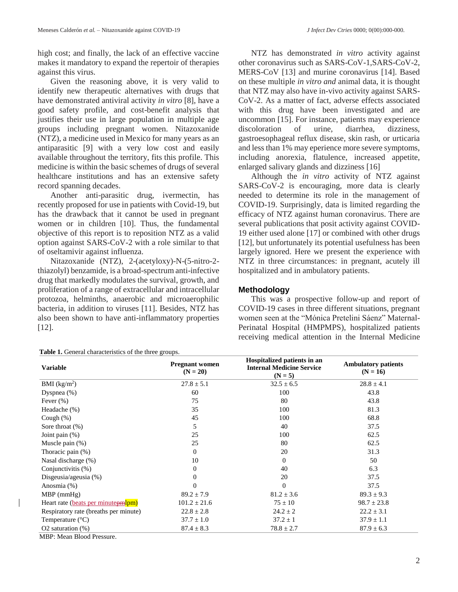high cost; and finally, the lack of an effective vaccine makes it mandatory to expand the repertoir of therapies against this virus.

Given the reasoning above, it is very valid to identify new therapeutic alternatives with drugs that have demonstrated antiviral activity *in vitro* [8], have a good safety profile, and cost-benefit analysis that justifies their use in large population in multiple age groups including pregnant women. Nitazoxanide (NTZ), a medicine used in Mexico for many years as an antiparasitic [9] with a very low cost and easily available throughout the territory, fits this profile. This medicine is within the basic schemes of drugs of several healthcare institutions and has an extensive safety record spanning decades.

Another anti-parasitic drug, ivermectin, has recently proposed for use in patients with Covid-19, but has the drawback that it cannot be used in pregnant women or in children [10]. Thus, the fundamental objective of this report is to reposition NTZ as a valid option against SARS-CoV-2 with a role similar to that of oseltamivir against influenza.

Nitazoxanide (NTZ), 2-(acetyloxy)-N-(5-nitro-2 thiazolyl) benzamide, is a broad-spectrum anti-infective drug that markedly modulates the survival, growth, and proliferation of a range of extracellular and intracellular protozoa, helminths, anaerobic and microaerophilic bacteria, in addition to viruses [11]. Besides, NTZ has also been shown to have anti-inflammatory properties [12].

| Table 1. General characteristics of the three groups. |
|-------------------------------------------------------|
|-------------------------------------------------------|

NTZ has demonstrated *in vitro* activity against other coronavirus such as SARS-CoV-1,SARS-CoV-2, MERS-CoV [13] and murine coronavirus [14]. Based on these multiple *in vitro and* animal data, it is thought that NTZ may also have in-vivo activity against SARS-CoV-2. As a matter of fact, adverse effects associated with this drug have been investigated and are uncommon [15]. For instance, patients may experience discoloration of urine, diarrhea, dizziness, gastroesophageal reflux disease, skin rash, or urticaria and less than 1% may eperience more severe symptoms, including anorexia, flatulence, increased appetite, enlarged salivary glands and dizziness [16]

Although the *in vitro* activity of NTZ against SARS-CoV-2 is encouraging, more data is clearly needed to determine its role in the management of COVID-19. Surprisingly, data is limited regarding the efficacy of NTZ against human coronavirus. There are several publications that posit activity against COVID-19 either used alone [17] or combined with other drugs [12], but unfortunately its potential usefulness has been largely ignored. Here we present the experience with NTZ in three circumstances: in pregnant, acutely ill hospitalized and in ambulatory patients.

## **Methodology**

This was a prospective follow-up and report of COVID-19 cases in three different situations, pregnant women seen at the "Mónica Pretelini Sáenz" Maternal-Perinatal Hospital (HMPMPS), hospitalized patients receiving medical attention in the Internal Medicine

| <b>Variable</b>                       | <b>Pregnant women</b><br>$(N = 20)$ | Hospitalized patients in an<br><b>Internal Medicine Service</b><br>$(N = 5)$ | <b>Ambulatory patients</b><br>$(N = 16)$ |
|---------------------------------------|-------------------------------------|------------------------------------------------------------------------------|------------------------------------------|
| BMI (kg/m <sup>2</sup> )              | $27.8 \pm 5.1$                      | $32.5 \pm 6.5$                                                               | $28.8 \pm 4.1$                           |
| Dyspnea $(\%)$                        | 60                                  | 100                                                                          | 43.8                                     |
| Fever $(\% )$                         | 75                                  | 80                                                                           | 43.8                                     |
| Headache (%)                          | 35                                  | 100                                                                          | 81.3                                     |
| Cough $(\%)$                          | 45                                  | 100                                                                          | 68.8                                     |
| Sore throat $(\%)$                    | 5                                   | 40                                                                           | 37.5                                     |
| Joint pain $(\%)$                     | 25                                  | 100                                                                          | 62.5                                     |
| Muscle pain $(\%)$                    | 25                                  | 80                                                                           | 62.5                                     |
| Thoracic pain $(\%)$                  | $\overline{0}$                      | 20                                                                           | 31.3                                     |
| Nasal discharge (%)                   | 10                                  | $\mathbf{0}$                                                                 | 50                                       |
| Conjunctivitis (%)                    | $\overline{0}$                      | 40                                                                           | 6.3                                      |
| Disgeusia/ageusia (%)                 | $\overline{0}$                      | 20                                                                           | 37.5                                     |
| Anosmia $(\%)$                        | $\overline{0}$                      | $\Omega$                                                                     | 37.5                                     |
| $MBP$ (mmHg)                          | $89.2 \pm 7.9$                      | $81.2 \pm 3.6$                                                               | $89.3 \pm 9.3$                           |
| Heart rate (beats per minuter-        | $101.2 \pm 21.6$                    | $75 \pm 10$                                                                  | $98.7 \pm 23.8$                          |
| Respiratory rate (breaths per minute) | $22.8 \pm 2.8$                      | $24.2 \pm 2$                                                                 | $22.2 \pm 3.1$                           |
| Temperature $(^{\circ}C)$             | $37.7 \pm 1.0$                      | $37.2 \pm 1$                                                                 | $37.9 \pm 1.1$                           |
| O2 saturation $(\%)$                  | $87.4 \pm 8.3$                      | $78.8 \pm 2.7$                                                               | $87.9 \pm 6.3$                           |

MBP: Mean Blood Pressure.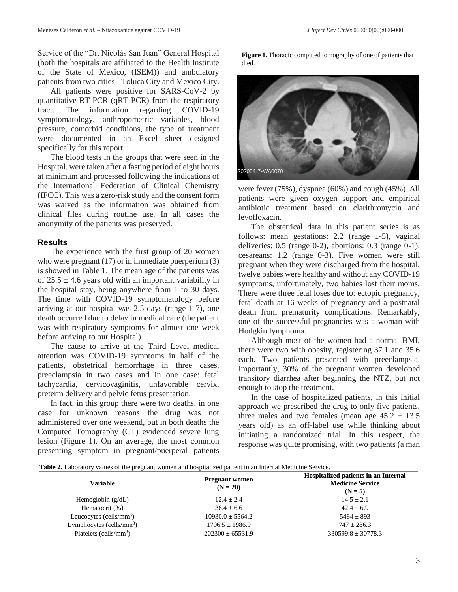Service of the "Dr. Nicolás San Juan" General Hospital (both the hospitals are affiliated to the Health Institute of the State of Mexico, (ISEM)) and ambulatory patients from two cities - Toluca City and Mexico City.

All patients were positive for SARS-CoV-2 by quantitative RT-PCR (qRT-PCR) from the respiratory tract. The information regarding COVID-19 symptomatology, anthropometric variables, blood pressure, comorbid conditions, the type of treatment were documented in an Excel sheet designed specifically for this report.

The blood tests in the groups that were seen in the Hospital, were taken after a fasting period of eight hours at minimum and processed following the indications of the International Federation of Clinical Chemistry (IFCC). This was a zero-risk study and the consent form was waived as the information was obtained from clinical files during routine use. In all cases the anonymity of the patients was preserved.

## **Results**

The experience with the first group of 20 women who were pregnant (17) or in immediate puerperium (3) is showed in Table 1. The mean age of the patients was of  $25.5 \pm 4.6$  years old with an important variability in the hospital stay, being anywhere from 1 to 30 days. The time with COVID-19 symptomatology before arriving at our hospital was 2.5 days (range 1-7), one death occurred due to delay in medical care (the patient was with respiratory symptoms for almost one week before arriving to our Hospital).

The cause to arrive at the Third Level medical attention was COVID-19 symptoms in half of the patients, obstetrical hemorrhage in three cases, preeclampsia in two cases and in one case: fetal tachycardia, cervicovaginitis, unfavorable cervix, preterm delivery and pelvic fetus presentation.

In fact, in this group there were two deaths, in one case for unknown reasons the drug was not administered over one weekend, but in both deaths the Computed Tomography (CT) evidenced severe lung lesion (Figure 1). On an average, the most common presenting symptom in pregnant/puerperal patients

**Figure 1.** Thoracic computed tomography of one of patients that died.



were fever (75%), dyspnea (60%) and cough (45%). All patients were given oxygen support and empirical antibiotic treatment based on clarithromycin and levofloxacin.

The obstetrical data in this patient series is as follows: mean gestations: 2.2 (range 1-5), vaginal deliveries: 0.5 (range 0-2), abortions: 0.3 (range 0-1), cesareans: 1.2 (range 0-3). Five women were still pregnant when they were discharged from the hospital, twelve babies were healthy and without any COVID-19 symptoms, unfortunately, two babies lost their moms. There were three fetal loses due to: ectopic pregnancy, fetal death at 16 weeks of pregnancy and a postnatal death from prematurity complications. Remarkably, one of the successful pregnancies was a woman with Hodgkin lymphoma.

Although most of the women had a normal BMI, there were two with obesity, registering 37.1 and 35.6 each. Two patients presented with preeclampsia. Importantly, 30% of the pregnant women developed transitory diarrhea after beginning the NTZ, but not enough to stop the treatment.

In the case of hospitalized patients, in this initial approach we prescribed the drug to only five patients, three males and two females (mean age  $45.2 \pm 13.5$ years old) as an off-label use while thinking about initiating a randomized trial. In this respect, the response was quite promising, with two patients (a man

|  | Table 2. Laboratory values of the pregnant women and hospitalized patient in an Internal Medicine Service. |  |
|--|------------------------------------------------------------------------------------------------------------|--|
|  |                                                                                                            |  |

| Variable                    | <b>Pregnant women</b><br>$(N = 20)$ | <b>Hospitalized patients in an Internal</b><br><b>Medicine Service</b><br>$(N = 5)$ |
|-----------------------------|-------------------------------------|-------------------------------------------------------------------------------------|
| Hemoglobin $(g/dL)$         | $12.4 + 2.4$                        | $14.5 + 2.1$                                                                        |
| Hematocrit (%)              | $36.4 \pm 6.6$                      | $42.4 \pm 6.9$                                                                      |
| Leucocytes (cells/ $mm3$ )  | $10930.0 + 5564.2$                  | $5484 \pm 893$                                                                      |
| Lymphocytes (cells/ $mm3$ ) | $1706.5 \pm 1986.9$                 | $747 + 286.3$                                                                       |
| Platelets (cells/ $mm3$ )   | $202300 \pm 65531.9$                | $330599.8 \pm 30778.3$                                                              |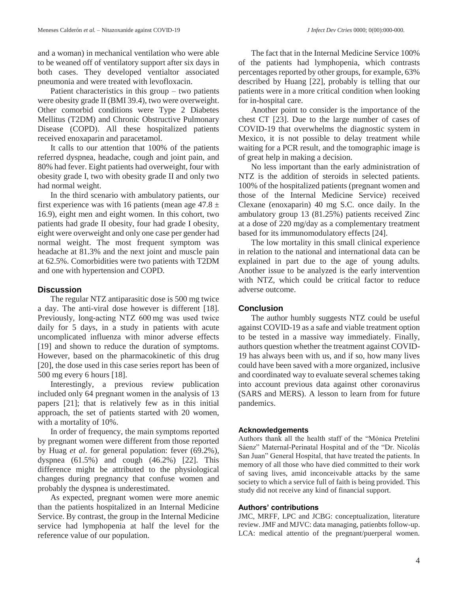and a woman) in mechanical ventilation who were able to be weaned off of ventilatory support after six days in both cases. They developed ventialtor associated pneumonia and were treated with levofloxacin.

Patient characteristics in this group – two patients were obesity grade II (BMI 39.4), two were overweight. Other comorbid conditions were Type 2 Diabetes Mellitus (T2DM) and Chronic Obstructive Pulmonary Disease (COPD). All these hospitalized patients received enoxaparin and paracetamol.

It calls to our attention that 100% of the patients referred dyspnea, headache, cough and joint pain, and 80% had fever. Eight patients had overweight, four with obesity grade I, two with obesity grade II and only two had normal weight.

In the third scenario with ambulatory patients, our first experience was with 16 patients (mean age  $47.8 \pm$ 16.9), eight men and eight women. In this cohort, two patients had grade II obesity, four had grade I obesity, eight were overweight and only one case per gender had normal weight. The most frequent symptom was headache at 81.3% and the next joint and muscle pain at 62.5%. Comorbidities were two patients with T2DM and one with hypertension and COPD.

## **Discussion**

The regular NTZ antiparasitic dose is 500 mg twice a day. The anti-viral dose however is different [18]. Previously, long-acting NTZ 600 mg was used twice daily for 5 days, in a study in patients with acute uncomplicated influenza with minor adverse effects [19] and shown to reduce the duration of symptoms. However, based on the pharmacokinetic of this drug [20], the dose used in this case series report has been of 500 mg every 6 hours [18].

Interestingly, a previous review publication included only 64 pregnant women in the analysis of 13 papers [21]; that is relatively few as in this initial approach, the set of patients started with 20 women, with a mortality of 10%.

In order of frequency, the main symptoms reported by pregnant women were different from those reported by Huag *et al*. for general population: fever (69.2%), dyspnea (61.5%) and cough (46.2%) [22]. This difference might be attributed to the physiological changes during pregnancy that confuse women and probably the dyspnea is underestimated.

As expected, pregnant women were more anemic than the patients hospitalized in an Internal Medicine Service. By contrast, the group in the Internal Medicine service had lymphopenia at half the level for the reference value of our population.

The fact that in the Internal Medicine Service 100% of the patients had lymphopenia, which contrasts percentages reported by other groups, for example, 63% described by Huang [22], probably is telling that our patients were in a more critical condition when looking for in-hospital care.

Another point to consider is the importance of the chest CT [23]. Due to the large number of cases of COVID-19 that overwhelms the diagnostic system in Mexico, it is not possible to delay treatment while waiting for a PCR result, and the tomographic image is of great help in making a decision.

No less important than the early administration of NTZ is the addition of steroids in selected patients. 100% of the hospitalized patients (pregnant women and those of the Internal Medicine Service) received Clexane (enoxaparin) 40 mg S.C. once daily. In the ambulatory group 13 (81.25%) patients received Zinc at a dose of 220 mg/day as a complementary treatment based for its immunomodulatory effects [24].

The low mortality in this small clinical experience in relation to the national and international data can be explained in part due to the age of young adults. Another issue to be analyzed is the early intervention with NTZ, which could be critical factor to reduce adverse outcome.

## **Conclusion**

The author humbly suggests NTZ could be useful against COVID-19 as a safe and viable treatment option to be tested in a massive way immediately. Finally, authors question whether the treatment against COVID-19 has always been with us, and if so, how many lives could have been saved with a more organized, inclusive and coordinated way to evaluate several schemes taking into account previous data against other coronavirus (SARS and MERS). A lesson to learn from for future pandemics.

## **Acknowledgements**

Authors thank all the health staff of the "Mónica Pretelini Sáenz" Maternal-Perinatal Hospital and of the "Dr. Nicolás San Juan" General Hospital, that have treated the patients. In memory of all those who have died committed to their work of saving lives, amid inconceivable attacks by the same society to which a service full of faith is being provided. This study did not receive any kind of financial support.

## **Authors' contributions**

JMC, MRFF, LPC and JCBG: conceptualization, literature review. JMF and MJVC: data managing, patienbts follow-up. LCA: medical attentio of the pregnant/puerperal women.